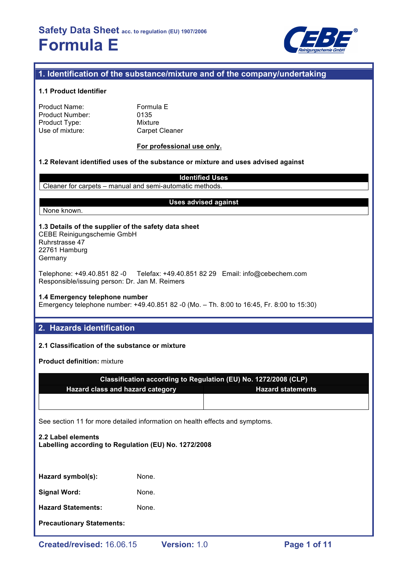

## **1. Identification of the substance/mixture and of the company/undertaking**

#### **1.1 Product Identifier**

| <b>Product Name:</b> |  |
|----------------------|--|
| Product Number:      |  |
| Product Type:        |  |
| Use of mixture:      |  |

Formula E 0135 **Mixture** Carpet Cleaner

#### **For professional use only.**

**Uses advised against**

#### **1.2 Relevant identified uses of the substance or mixture and uses advised against**

**Identified Uses** Cleaner for carpets – manual and semi-automatic methods.

#### None known.

**1.3 Details of the supplier of the safety data sheet** CEBE Reinigungschemie GmbH Ruhrstrasse 47 22761 Hamburg Germany

Telephone: +49.40.851 82 -0 Telefax: +49.40.851 82 29 Email: info@cebechem.com

Responsible/issuing person: Dr. Jan M. Reimers

### **1.4 Emergency telephone number**

Emergency telephone number: +49.40.851 82 -0 (Mo. – Th. 8:00 to 16:45, Fr. 8:00 to 15:30)

### **2. Hazards identification**

### **2.1 Classification of the substance or mixture**

**Product definition:** mixture

|                                  | Classification according to Regulation (EU) No. 1272/2008 (CLP) |
|----------------------------------|-----------------------------------------------------------------|
| Hazard class and hazard category | <b>Hazard statements</b>                                        |
|                                  |                                                                 |
|                                  |                                                                 |

See section 11 for more detailed information on health effects and symptoms.

# **2.2 Label elements Labelling according to Regulation (EU) No. 1272/2008**

Hazard symbol(s): None.

**Signal Word:** None.

**Hazard Statements:** None.

**Precautionary Statements:**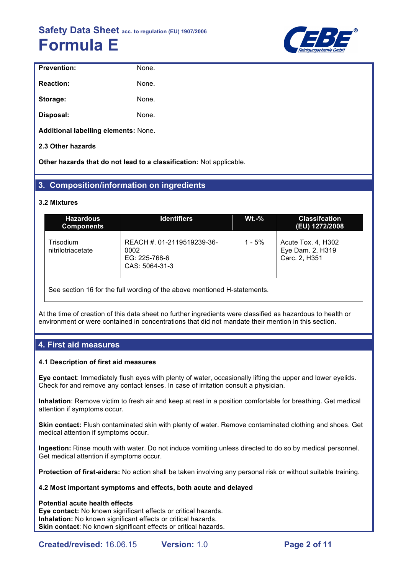

| <b>Prevention:</b>                   | None. |
|--------------------------------------|-------|
| <b>Reaction:</b>                     | None. |
| Storage:                             | None. |
| Disposal:                            | None. |
| Additional labelling elements: None. |       |

**2.3 Other hazards**

**Other hazards that do not lead to a classification:** Not applicable.

### **3. Composition/information on ingredients**

#### **3.2 Mixtures**

| <b>Hazardous</b><br><b>Components</b>                                    | <b>Identifiers</b>                                                    | $Wt.-%$  | <b>Classifcation</b><br>(EU) 1272/2008                  |  |  |
|--------------------------------------------------------------------------|-----------------------------------------------------------------------|----------|---------------------------------------------------------|--|--|
| Trisodium<br>nitrilotriacetate                                           | REACH #. 01-2119519239-36-<br>0002<br>EG: 225-768-6<br>CAS: 5064-31-3 | $1 - 5%$ | Acute Tox. 4, H302<br>Eye Dam. 2, H319<br>Carc. 2, H351 |  |  |
| See section 16 for the full wording of the above mentioned H-statements. |                                                                       |          |                                                         |  |  |

At the time of creation of this data sheet no further ingredients were classified as hazardous to health or environment or were contained in concentrations that did not mandate their mention in this section.

### **4. First aid measures**

#### **4.1 Description of first aid measures**

**Eye contact**: Immediately flush eyes with plenty of water, occasionally lifting the upper and lower eyelids. Check for and remove any contact lenses. In case of irritation consult a physician.

**Inhalation**: Remove victim to fresh air and keep at rest in a position comfortable for breathing. Get medical attention if symptoms occur.

**Skin contact:** Flush contaminated skin with plenty of water. Remove contaminated clothing and shoes. Get medical attention if symptoms occur.

**Ingestion:** Rinse mouth with water. Do not induce vomiting unless directed to do so by medical personnel. Get medical attention if symptoms occur.

**Protection of first-aiders:** No action shall be taken involving any personal risk or without suitable training.

#### **4.2 Most important symptoms and effects, both acute and delayed**

#### **Potential acute health effects**

**Eye contact:** No known significant effects or critical hazards. **Inhalation:** No known significant effects or critical hazards. **Skin contact:** No known significant effects or critical hazards.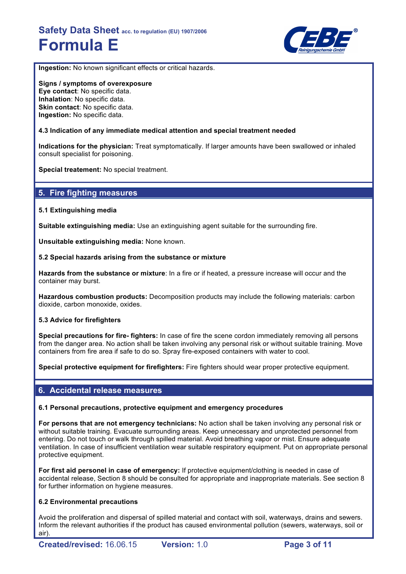

**Ingestion:** No known significant effects or critical hazards.

**Signs / symptoms of overexposure Eye contact**: No specific data. **Inhalation**: No specific data. **Skin contact:** No specific data. **Ingestion:** No specific data.

#### **4.3 Indication of any immediate medical attention and special treatment needed**

**Indications for the physician:** Treat symptomatically. If larger amounts have been swallowed or inhaled consult specialist for poisoning.

**Special treatement:** No special treatment.

### **5. Fire fighting measures**

#### **5.1 Extinguishing media**

**Suitable extinguishing media:** Use an extinguishing agent suitable for the surrounding fire.

**Unsuitable extinguishing media:** None known.

#### **5.2 Special hazards arising from the substance or mixture**

**Hazards from the substance or mixture**: In a fire or if heated, a pressure increase will occur and the container may burst.

**Hazardous combustion products:** Decomposition products may include the following materials: carbon dioxide, carbon monoxide, oxides.

#### **5.3 Advice for firefighters**

**Special precautions for fire- fighters:** In case of fire the scene cordon immediately removing all persons from the danger area. No action shall be taken involving any personal risk or without suitable training. Move containers from fire area if safe to do so. Spray fire-exposed containers with water to cool.

**Special protective equipment for firefighters:** Fire fighters should wear proper protective equipment.

### **6. Accidental release measures**

#### **6.1 Personal precautions, protective equipment and emergency procedures**

**For persons that are not emergency technicians:** No action shall be taken involving any personal risk or without suitable training. Evacuate surrounding areas. Keep unnecessary and unprotected personnel from entering. Do not touch or walk through spilled material. Avoid breathing vapor or mist. Ensure adequate ventilation. In case of insufficient ventilation wear suitable respiratory equipment. Put on appropriate personal protective equipment.

**For first aid personel in case of emergency:** If protective equipment/clothing is needed in case of accidental release, Section 8 should be consulted for appropriate and inappropriate materials. See section 8 for further information on hygiene measures.

#### **6.2 Environmental precautions**

Avoid the proliferation and dispersal of spilled material and contact with soil, waterways, drains and sewers. Inform the relevant authorities if the product has caused environmental pollution (sewers, waterways, soil or air).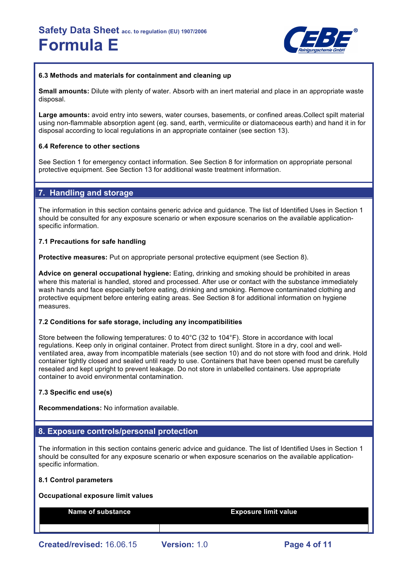

#### **6.3 Methods and materials for containment and cleaning up**

**Small amounts:** Dilute with plenty of water. Absorb with an inert material and place in an appropriate waste disposal.

**Large amounts:** avoid entry into sewers, water courses, basements, or confined areas.Collect spilt material using non-flammable absorption agent (eg. sand, earth, vermiculite or diatomaceous earth) and hand it in for disposal according to local regulations in an appropriate container (see section 13).

#### **6.4 Reference to other sections**

See Section 1 for emergency contact information. See Section 8 for information on appropriate personal protective equipment. See Section 13 for additional waste treatment information.

### **7. Handling and storage**

The information in this section contains generic advice and guidance. The list of Identified Uses in Section 1 should be consulted for any exposure scenario or when exposure scenarios on the available applicationspecific information.

#### **7.1 Precautions for safe handling**

**Protective measures:** Put on appropriate personal protective equipment (see Section 8).

**Advice on general occupational hygiene:** Eating, drinking and smoking should be prohibited in areas where this material is handled, stored and processed. After use or contact with the substance immediately wash hands and face especially before eating, drinking and smoking. Remove contaminated clothing and protective equipment before entering eating areas. See Section 8 for additional information on hygiene measures.

#### **7.2 Conditions for safe storage, including any incompatibilities**

Store between the following temperatures: 0 to 40°C (32 to 104°F). Store in accordance with local regulations. Keep only in original container. Protect from direct sunlight. Store in a dry, cool and wellventilated area, away from incompatible materials (see section 10) and do not store with food and drink. Hold container tightly closed and sealed until ready to use. Containers that have been opened must be carefully resealed and kept upright to prevent leakage. Do not store in unlabelled containers. Use appropriate container to avoid environmental contamination.

#### **7.3 Specific end use(s)**

**Recommendations:** No information available.

#### **8. Exposure controls/personal protection**

The information in this section contains generic advice and guidance. The list of Identified Uses in Section 1 should be consulted for any exposure scenario or when exposure scenarios on the available applicationspecific information.

#### **8.1 Control parameters**

#### **Occupational exposure limit values**

**Name of substance Exposure limit value**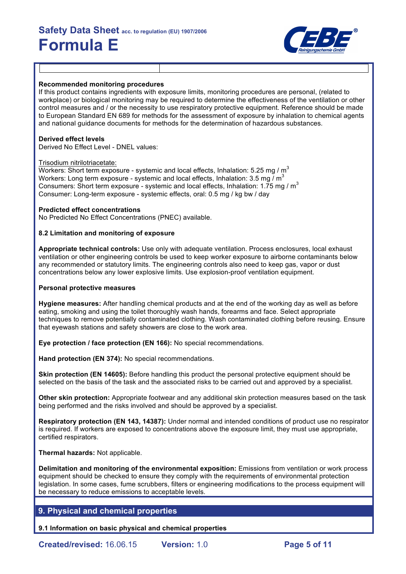

#### **Recommended monitoring procedures**

If this product contains ingredients with exposure limits, monitoring procedures are personal, (related to workplace) or biological monitoring may be required to determine the effectiveness of the ventilation or other control measures and / or the necessity to use respiratory protective equipment. Reference should be made to European Standard EN 689 for methods for the assessment of exposure by inhalation to chemical agents and national guidance documents for methods for the determination of hazardous substances.

#### **Derived effect levels**

Derived No Effect Level - DNEL values:

#### Trisodium nitrilotriacetate:

Workers: Short term exposure - systemic and local effects, Inhalation: 5.25 mg /  $m<sup>3</sup>$ Workers: Long term exposure - systemic and local effects, Inhalation: 3.5 mg /  $m^3$ Consumers: Short term exposure - systemic and local effects, Inhalation: 1.75 mg / m<sup>3</sup> Consumer: Long-term exposure - systemic effects, oral: 0.5 mg / kg bw / day

#### **Predicted effect concentrations**

No Predicted No Effect Concentrations (PNEC) available.

#### **8.2 Limitation and monitoring of exposure**

**Appropriate technical controls:** Use only with adequate ventilation. Process enclosures, local exhaust ventilation or other engineering controls be used to keep worker exposure to airborne contaminants below any recommended or statutory limits. The engineering controls also need to keep gas, vapor or dust concentrations below any lower explosive limits. Use explosion-proof ventilation equipment.

#### **Personal protective measures**

**Hygiene measures:** After handling chemical products and at the end of the working day as well as before eating, smoking and using the toilet thoroughly wash hands, forearms and face. Select appropriate techniques to remove potentially contaminated clothing. Wash contaminated clothing before reusing. Ensure that eyewash stations and safety showers are close to the work area.

**Eye protection / face protection (EN 166):** No special recommendations.

**Hand protection (EN 374):** No special recommendations.

**Skin protection (EN 14605):** Before handling this product the personal protective equipment should be selected on the basis of the task and the associated risks to be carried out and approved by a specialist.

**Other skin protection:** Appropriate footwear and any additional skin protection measures based on the task being performed and the risks involved and should be approved by a specialist.

**Respiratory protection (EN 143, 14387):** Under normal and intended conditions of product use no respirator is required. If workers are exposed to concentrations above the exposure limit, they must use appropriate. certified respirators.

#### **Thermal hazards:** Not applicable.

**Delimitation and monitoring of the environmental exposition:** Emissions from ventilation or work process equipment should be checked to ensure they comply with the requirements of environmental protection legislation. In some cases, fume scrubbers, filters or engineering modifications to the process equipment will be necessary to reduce emissions to acceptable levels.

### **9. Physical and chemical properties**

**9.1 Information on basic physical and chemical properties**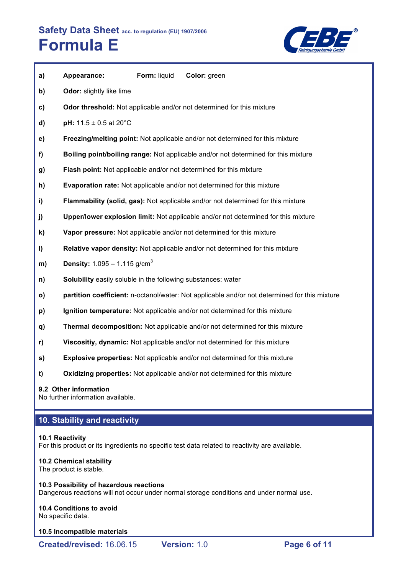

| a)           | Appearance:                                                         | Form: liquid | Color: green                                                                                  |
|--------------|---------------------------------------------------------------------|--------------|-----------------------------------------------------------------------------------------------|
| b)           | Odor: slightly like lime                                            |              |                                                                                               |
| $\mathbf{c}$ |                                                                     |              | Odor threshold: Not applicable and/or not determined for this mixture                         |
| d)           | pH: $11.5 \pm 0.5$ at 20°C                                          |              |                                                                                               |
| e)           |                                                                     |              | Freezing/melting point: Not applicable and/or not determined for this mixture                 |
| f)           |                                                                     |              | Boiling point/boiling range: Not applicable and/or not determined for this mixture            |
| g)           |                                                                     |              | Flash point: Not applicable and/or not determined for this mixture                            |
| h)           |                                                                     |              | <b>Evaporation rate:</b> Not applicable and/or not determined for this mixture                |
| i)           |                                                                     |              | Flammability (solid, gas): Not applicable and/or not determined for this mixture              |
| j)           |                                                                     |              | Upper/lower explosion limit: Not applicable and/or not determined for this mixture            |
| k)           |                                                                     |              | Vapor pressure: Not applicable and/or not determined for this mixture                         |
| I)           |                                                                     |              | Relative vapor density: Not applicable and/or not determined for this mixture                 |
| m)           | <b>Density:</b> $1.095 - 1.115$ g/cm <sup>3</sup>                   |              |                                                                                               |
| n)           | <b>Solubility</b> easily soluble in the following substances: water |              |                                                                                               |
| $\mathsf{o}$ |                                                                     |              | partition coefficient: n-octanol/water: Not applicable and/or not determined for this mixture |
| p)           |                                                                     |              | Ignition temperature: Not applicable and/or not determined for this mixture                   |
| q)           |                                                                     |              | Thermal decomposition: Not applicable and/or not determined for this mixture                  |
| r)           |                                                                     |              | Viscositiy, dynamic: Not applicable and/or not determined for this mixture                    |

- **s) Explosive properties:** Not applicable and/or not determined for this mixture
- **t) Oxidizing properties:** Not applicable and/or not determined for this mixture

#### **9.2 Other information**

No further information available.

# **10. Stability and reactivity**

#### **10.1 Reactivity**

For this product or its ingredients no specific test data related to reactivity are available.

#### **10.2 Chemical stability**

The product is stable.

#### **10.3 Possibility of hazardous reactions**

Dangerous reactions will not occur under normal storage conditions and under normal use.

# **10.4 Conditions to avoid**

No specific data.

#### **10.5 Incompatible materials**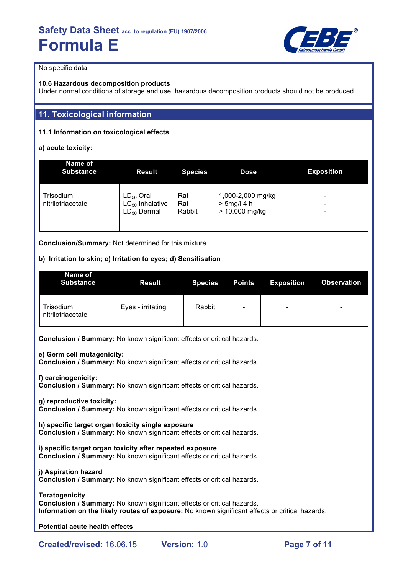

No specific data.

#### **10.6 Hazardous decomposition products**

Under normal conditions of storage and use, hazardous decomposition products should not be produced.

# **11. Toxicological information**

### **11.1 Information on toxicological effects**

**a) acute toxicity:**

| Name of<br><b>Substance</b>    | <b>Result</b>                                              | <b>Species</b>       | Dose                                                    | <b>Exposition</b> |
|--------------------------------|------------------------------------------------------------|----------------------|---------------------------------------------------------|-------------------|
| Trisodium<br>nitrilotriacetate | $LD_{50}$ Oral<br>$LC_{50}$ Inhalative<br>$LD_{50}$ Dermal | Rat<br>Rat<br>Rabbit | 1,000-2,000 mg/kg<br>$> 5$ mg/l 4 h<br>$> 10,000$ mg/kg | -<br>-<br>-       |

**Conclusion/Summary:** Not determined for this mixture.

#### **b) Irritation to skin; c) Irritation to eyes; d) Sensitisation**

| Name of<br><b>Substance</b>    | <b>Result</b>     | <b>Species</b> | <b>Points</b>            | <b>Exposition</b>        | <b>Observation</b>       |
|--------------------------------|-------------------|----------------|--------------------------|--------------------------|--------------------------|
| Trisodium<br>nitrilotriacetate | Eyes - irritating | Rabbit         | $\overline{\phantom{0}}$ | $\overline{\phantom{0}}$ | $\overline{\phantom{0}}$ |

**Conclusion / Summary:** No known significant effects or critical hazards.

**e) Germ cell mutagenicity:**

**Conclusion / Summary:** No known significant effects or critical hazards.

**f) carcinogenicity:**

**Conclusion / Summary:** No known significant effects or critical hazards.

**g) reproductive toxicity:**

**Conclusion / Summary:** No known significant effects or critical hazards.

**h) specific target organ toxicity single exposure Conclusion / Summary:** No known significant effects or critical hazards.

**i) specific target organ toxicity after repeated exposure Conclusion / Summary:** No known significant effects or critical hazards.

**j) Aspiration hazard Conclusion / Summary:** No known significant effects or critical hazards.

**Teratogenicity Conclusion / Summary:** No known significant effects or critical hazards. **Information on the likely routes of exposure:** No known significant effects or critical hazards.

**Potential acute health effects**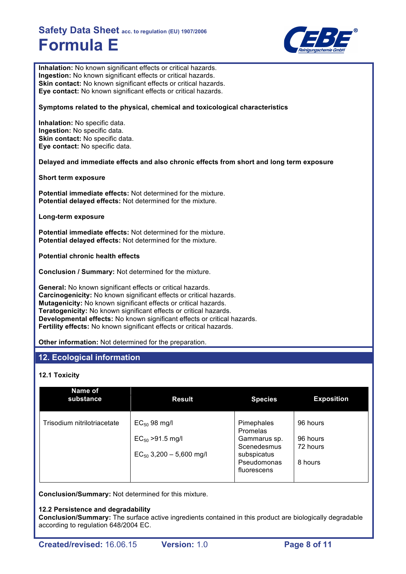

**Inhalation:** No known significant effects or critical hazards. **Ingestion:** No known significant effects or critical hazards. **Skin contact:** No known significant effects or critical hazards. **Eye contact:** No known significant effects or critical hazards.

**Symptoms related to the physical, chemical and toxicological characteristics**

**Inhalation:** No specific data. **Ingestion:** No specific data. **Skin contact:** No specific data. **Eye contact:** No specific data.

**Delayed and immediate effects and also chronic effects from short and long term exposure**

**Short term exposure**

**Potential immediate effects:** Not determined for the mixture. **Potential delayed effects:** Not determined for the mixture.

**Long-term exposure**

**Potential immediate effects:** Not determined for the mixture. **Potential delayed effects:** Not determined for the mixture.

**Potential chronic health effects**

**Conclusion / Summary:** Not determined for the mixture.

**General:** No known significant effects or critical hazards. **Carcinogenicity:** No known significant effects or critical hazards. **Mutagenicity:** No known significant effects or critical hazards. **Teratogenicity:** No known significant effects or critical hazards. **Developmental effects:** No known significant effects or critical hazards. **Fertility effects:** No known significant effects or critical hazards.

**Other information:** Not determined for the preparation.

### **12. Ecological information**

#### **12.1 Toxicity**

| Name of<br>substance        | <b>Result</b>                | <b>Species</b>             | <b>Exposition</b> |
|-----------------------------|------------------------------|----------------------------|-------------------|
| Trisodium nitrilotriacetate | $EC_{50}$ 98 mg/l            | Pimephales<br>Promelas     | 96 hours          |
|                             | $EC_{50} > 91.5$ mg/l        | Gammarus sp.               | 96 hours          |
|                             | $EC_{50}$ 3,200 - 5,600 mg/l | Scenedesmus<br>subspicatus | 72 hours          |
|                             |                              | Pseudomonas<br>fluorescens | 8 hours           |

**Conclusion/Summary:** Not determined for this mixture.

#### **12.2 Persistence and degradability**

**Conclusion/Summary:** The surface active ingredients contained in this product are biologically degradable according to regulation 648/2004 EC.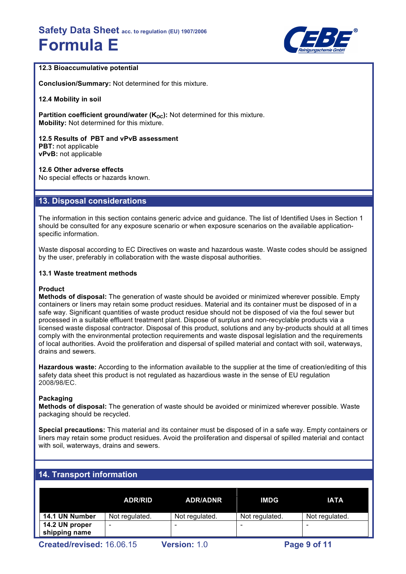

#### **12.3 Bioaccumulative potential**

**Conclusion/Summary:** Not determined for this mixture.

**12.4 Mobility in soil**

**Partition coefficient ground/water (K<sub>oc</sub>):** Not determined for this mixture. **Mobility:** Not determined for this mixture.

**12.5 Results of PBT and vPvB assessment PBT:** not applicable **vPvB:** not applicable

**12.6 Other adverse effects** No special effects or hazards known.

# **13. Disposal considerations**

The information in this section contains generic advice and guidance. The list of Identified Uses in Section 1 should be consulted for any exposure scenario or when exposure scenarios on the available applicationspecific information.

Waste disposal according to EC Directives on waste and hazardous waste. Waste codes should be assigned by the user, preferably in collaboration with the waste disposal authorities.

#### **13.1 Waste treatment methods**

#### **Product**

**Methods of disposal:** The generation of waste should be avoided or minimized wherever possible. Empty containers or liners may retain some product residues. Material and its container must be disposed of in a safe way. Significant quantities of waste product residue should not be disposed of via the foul sewer but processed in a suitable effluent treatment plant. Dispose of surplus and non-recyclable products via a licensed waste disposal contractor. Disposal of this product, solutions and any by-products should at all times comply with the environmental protection requirements and waste disposal legislation and the requirements of local authorities. Avoid the proliferation and dispersal of spilled material and contact with soil, waterways, drains and sewers.

**Hazardous waste:** According to the information available to the supplier at the time of creation/editing of this safety data sheet this product is not regulated as hazardious waste in the sense of EU regulation 2008/98/EC.

#### **Packaging**

**Methods of disposal:** The generation of waste should be avoided or minimized wherever possible. Waste packaging should be recycled.

**Special precautions:** This material and its container must be disposed of in a safe way. Empty containers or liners may retain some product residues. Avoid the proliferation and dispersal of spilled material and contact with soil, waterways, drains and sewers.

# **14. Transport information**

| 14.1 UN Number<br>Not regulated.<br>Not regulated.<br>Not regulated. | <b>ADR/RID</b> | <b>ADR/ADNR</b> | IMDG | <b>IATA</b>    |
|----------------------------------------------------------------------|----------------|-----------------|------|----------------|
|                                                                      |                |                 |      | Not regulated. |
| 14.2 UN proper<br>$\qquad \qquad \blacksquare$<br>-<br>shipping name |                |                 |      |                |

**Created/revised:** 16.06.15 **Version:** 1.0 **Page 9 of 11**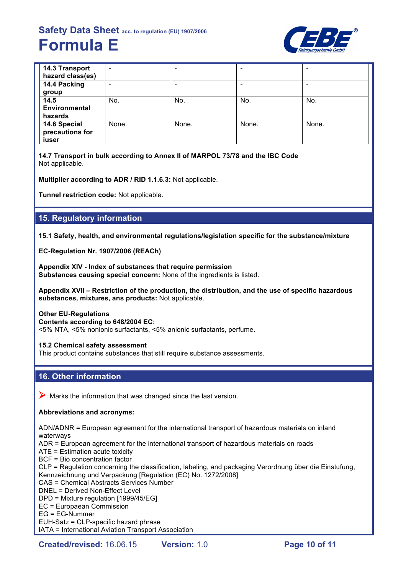

| <b>14.3 Transport</b><br>hazard class(es) | $\overline{\phantom{0}}$ |       |       | $\overline{\phantom{0}}$     |
|-------------------------------------------|--------------------------|-------|-------|------------------------------|
| 14.4 Packing                              |                          |       |       | $\qquad \qquad \blacksquare$ |
| group                                     |                          |       |       |                              |
| 14.5                                      | No.                      | No.   | No.   | No.                          |
| Environmental                             |                          |       |       |                              |
| hazards                                   |                          |       |       |                              |
| 14.6 Special<br>precautions for<br>iuser  | None.                    | None. | None. | None.                        |

**14.7 Transport in bulk according to Annex II of MARPOL 73/78 and the IBC Code** Not applicable.

**Multiplier according to ADR / RID 1.1.6.3:** Not applicable.

**Tunnel restriction code:** Not applicable.

### **15. Regulatory information**

**15.1 Safety, health, and environmental regulations/legislation specific for the substance/mixture**

**EC-Regulation Nr. 1907/2006 (REACh)**

**Appendix XIV - Index of substances that require permission Substances causing special concern:** None of the ingredients is listed.

**Appendix XVII – Restriction of the production, the distribution, and the use of specific hazardous substances, mixtures, ans products:** Not applicable.

**Other EU-Regulations Contents according to 648/2004 EC:** <5% NTA, <5% nonionic surfactants, <5% anionic surfactants, perfume.

**15.2 Chemical safety assessment** This product contains substances that still require substance assessments.

### **16. Other information**

 $\triangleright$  Marks the information that was changed since the last version.

#### **Abbreviations and acronyms:**

ADN/ADNR = European agreement for the international transport of hazardous materials on inland waterways

ADR = European agreement for the international transport of hazardous materials on roads

ATE = Estimation acute toxicity

BCF = Bio concentration factor

CLP = Regulation concerning the classification, labeling, and packaging Verordnung über die Einstufung, Kennzeichnung und Verpackung [Regulation (EC) No. 1272/2008]

CAS = Chemical Abstracts Services Number

DNEL = Derived Non-Effect Level

DPD = Mixture regulation [1999/45/EG]

EC = Europaean Commission

EG = EG-Nummer

EUH-Satz = CLP-specific hazard phrase

IATA = International Aviation Transport Association